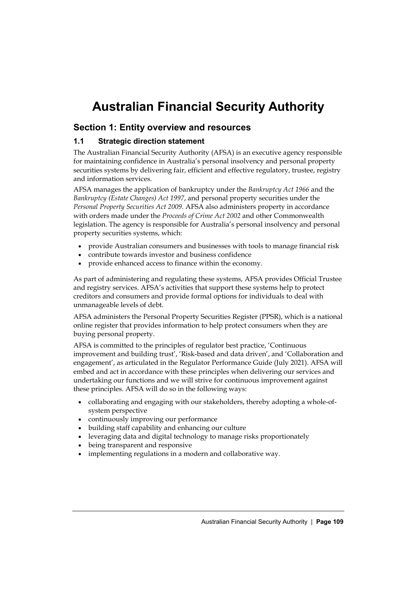# **Australian Financial Security Authority**

# **Section 1: Entity overview and resources**

# **1.1 Strategic direction statement**

The Australian Financial Security Authority (AFSA) is an executive agency responsible for maintaining confidence in Australia's personal insolvency and personal property securities systems by delivering fair, efficient and effective regulatory, trustee, registry and information services.

AFSA manages the application of bankruptcy under the *Bankruptcy Act 1966* and the *Bankruptcy (Estate Changes) Act 1997*, and personal property securities under the *Personal Property Securities Act 2009*. AFSA also administers property in accordance with orders made under the *Proceeds of Crime Act 2002* and other Commonwealth legislation. The agency is responsible for Australia's personal insolvency and personal property securities systems, which:

- provide Australian consumers and businesses with tools to manage financial risk
- contribute towards investor and business confidence
- provide enhanced access to finance within the economy.

As part of administering and regulating these systems, AFSA provides Official Trustee and registry services. AFSA's activities that support these systems help to protect creditors and consumers and provide formal options for individuals to deal with unmanageable levels of debt.

AFSA administers the Personal Property Securities Register (PPSR), which is a national online register that provides information to help protect consumers when they are buying personal property.

AFSA is committed to the principles of regulator best practice, 'Continuous improvement and building trust', 'Risk-based and data driven', and 'Collaboration and engagement', as articulated in the Regulator Performance Guide (July 2021). AFSA will embed and act in accordance with these principles when delivering our services and undertaking our functions and we will strive for continuous improvement against these principles. AFSA will do so in the following ways:

- collaborating and engaging with our stakeholders, thereby adopting a whole-ofsystem perspective
- continuously improving our performance
- building staff capability and enhancing our culture
- leveraging data and digital technology to manage risks proportionately
- being transparent and responsive
- implementing regulations in a modern and collaborative way.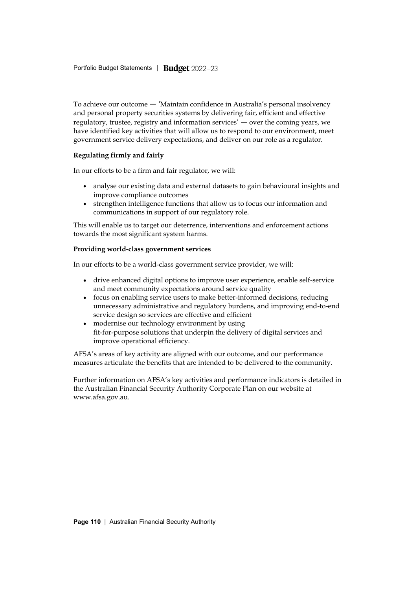To achieve our outcome — 'Maintain confidence in Australia's personal insolvency and personal property securities systems by delivering fair, efficient and effective regulatory, trustee, registry and information services' — over the coming years, we have identified key activities that will allow us to respond to our environment, meet government service delivery expectations, and deliver on our role as a regulator.

#### **Regulating firmly and fairly**

In our efforts to be a firm and fair regulator, we will:

- analyse our existing data and external datasets to gain behavioural insights and improve compliance outcomes
- strengthen intelligence functions that allow us to focus our information and communications in support of our regulatory role.

This will enable us to target our deterrence, interventions and enforcement actions towards the most significant system harms.

#### **Providing world-class government services**

In our efforts to be a world-class government service provider, we will:

- drive enhanced digital options to improve user experience, enable self-service and meet community expectations around service quality
- focus on enabling service users to make better-informed decisions, reducing unnecessary administrative and regulatory burdens, and improving end-to-end service design so services are effective and efficient
- modernise our technology environment by using fit-for-purpose solutions that underpin the delivery of digital services and improve operational efficiency.

AFSA's areas of key activity are aligned with our outcome, and our performance measures articulate the benefits that are intended to be delivered to the community.

Further information on AFSA's key activities and performance indicators is detailed in the Australian Financial Security Authority Corporate Plan on our website at [www.afsa.gov.au.](http://www.afsa.gov.au/)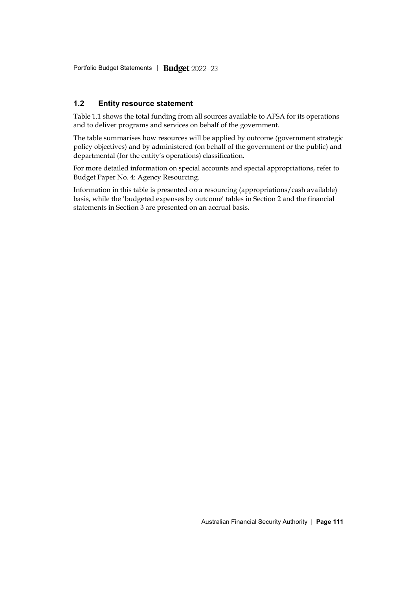Portfolio Budget Statements *|* 

# **1.2 Entity resource statement**

Table 1.1 shows the total funding from all sources available to AFSA for its operations and to deliver programs and services on behalf of the government.

The table summarises how resources will be applied by outcome (government strategic policy objectives) and by administered (on behalf of the government or the public) and departmental (for the entity's operations) classification.

For more detailed information on special accounts and special appropriations, refer to Budget Paper No. 4: Agency Resourcing.

Information in this table is presented on a resourcing (appropriations/cash available) basis, while the 'budgeted expenses by outcome' tables in Section 2 and the financial statements in Section 3 are presented on an accrual basis.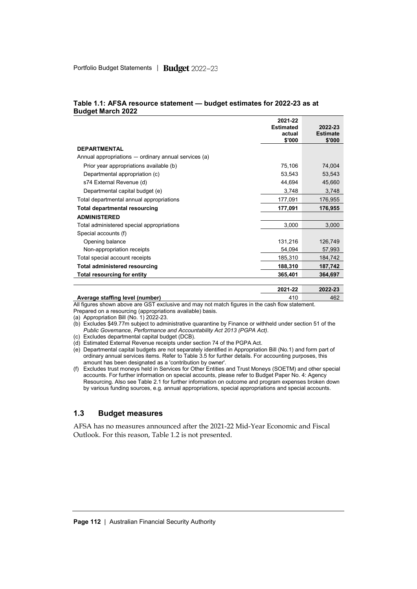|                                                      | 2021-22<br><b>Estimated</b><br>actual<br>\$'000 | 2022-23<br><b>Estimate</b><br>\$'000 |
|------------------------------------------------------|-------------------------------------------------|--------------------------------------|
| <b>DEPARTMENTAL</b>                                  |                                                 |                                      |
| Annual appropriations — ordinary annual services (a) |                                                 |                                      |
| Prior year appropriations available (b)              | 75,106                                          | 74,004                               |
| Departmental appropriation (c)                       | 53,543                                          | 53,543                               |
| s74 External Revenue (d)                             | 44,694                                          | 45,660                               |
| Departmental capital budget (e)                      | 3,748                                           | 3,748                                |
| Total departmental annual appropriations             | 177,091                                         | 176,955                              |
| <b>Total departmental resourcing</b>                 | 177,091                                         | 176,955                              |
| <b>ADMINISTERED</b>                                  |                                                 |                                      |
| Total administered special appropriations            | 3,000                                           | 3,000                                |
| Special accounts (f)                                 |                                                 |                                      |
| Opening balance                                      | 131,216                                         | 126,749                              |
| Non-appropriation receipts                           | 54,094                                          | 57,993                               |
| Total special account receipts                       | 185,310                                         | 184,742                              |
| <b>Total administered resourcing</b>                 | 188,310                                         | 187,742                              |
| Total resourcing for entity                          | 365,401                                         | 364,697                              |
|                                                      | 2021-22                                         | 2022-23                              |

#### **Table 1.1: AFSA resource statement — budget estimates for 2022-23 as at Budget March 2022**

**Average staffing level (number)** 410 462 All figures shown above are GST exclusive and may not match figures in the cash flow statement.

Prepared on a resourcing (appropriations available) basis.

(a) Appropriation Bill (No. 1) 2022-23.

- (b) Excludes \$49.77m subject to administrative quarantine by Finance or withheld under section 51 of the *Public Governance, Performance and Accountability Act 2013 (PGPA Act)*.
- (c) Excludes departmental capital budget (DCB).
- (d) Estimated External Revenue receipts under section 74 of the PGPA Act.

(e) Departmental capital budgets are not separately identified in Appropriation Bill (No.1) and form part of ordinary annual services items. Refer to Table 3.5 for further details. For accounting purposes, this amount has been designated as a 'contribution by owner'.

(f) Excludes trust moneys held in Services for Other Entities and Trust Moneys (SOETM) and other special accounts. For further information on special accounts, please refer to Budget Paper No. 4: Agency Resourcing. Also see Table 2.1 for further information on outcome and program expenses broken down by various funding sources, e.g. annual appropriations, special appropriations and special accounts.

# **1.3 Budget measures**

AFSA has no measures announced after the 2021-22 Mid-Year Economic and Fiscal Outlook. For this reason, Table 1.2 is not presented.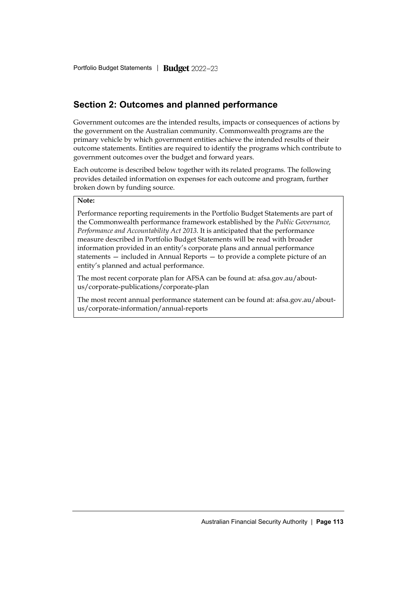# **Section 2: Outcomes and planned performance**

Government outcomes are the intended results, impacts or consequences of actions by the government on the Australian community. Commonwealth programs are the primary vehicle by which government entities achieve the intended results of their outcome statements. Entities are required to identify the programs which contribute to government outcomes over the budget and forward years.

Each outcome is described below together with its related programs. The following provides detailed information on expenses for each outcome and program, further broken down by funding source.

#### **Note:**

Performance reporting requirements in the Portfolio Budget Statements are part of the Commonwealth performance framework established by the *Public Governance, Performance and Accountability Act 2013*. It is anticipated that the performance measure described in Portfolio Budget Statements will be read with broader information provided in an entity's corporate plans and annual performance statements — included in Annual Reports — to provide a complete picture of an entity's planned and actual performance.

The most recent corporate plan for AFSA can be found at: [afsa.gov.au/about](https://www.afsa.gov.au/about-us/corporate-publications/corporate-plan)[us/corporate-publications/corporate-plan](https://www.afsa.gov.au/about-us/corporate-publications/corporate-plan)

The most recent annual performance statement can be found at: [afsa.gov.au/about](https://www.afsa.gov.au/about-us/corporate-information/annual-reports)[us/corporate-information/annual-reports](https://www.afsa.gov.au/about-us/corporate-information/annual-reports)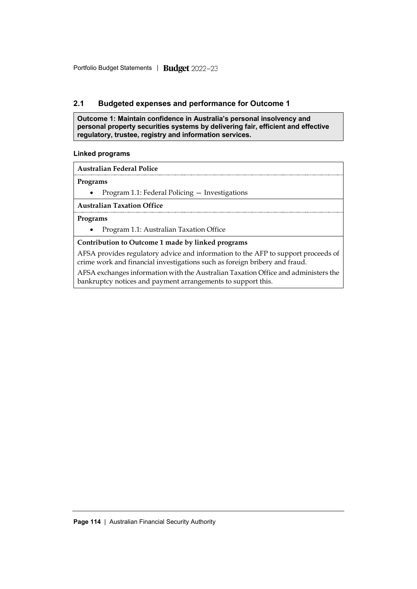# **2.1 Budgeted expenses and performance for Outcome 1**

**Outcome 1: Maintain confidence in Australia's personal insolvency and personal property securities systems by delivering fair, efficient and effective regulatory, trustee, registry and information services.**

#### **Linked programs**

**Australian Federal Police**

#### **Programs**

• Program 1.1: Federal Policing — Investigations

**Australian Taxation Office**

#### **Programs**

• Program 1.1: Australian Taxation Office

## **Contribution to Outcome 1 made by linked programs**

AFSA provides regulatory advice and information to the AFP to support proceeds of crime work and financial investigations such as foreign bribery and fraud.

AFSA exchanges information with the Australian Taxation Office and administers the bankruptcy notices and payment arrangements to support this.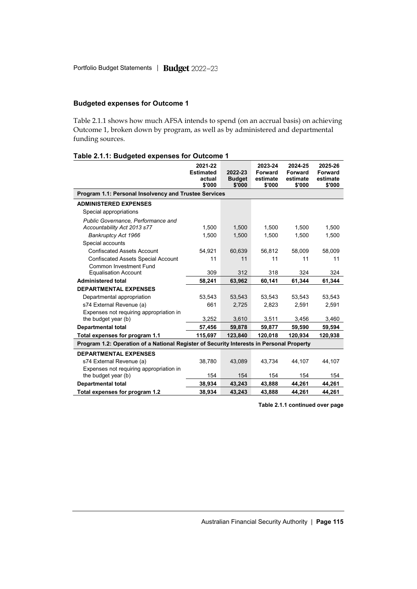## **Budgeted expenses for Outcome 1**

Table 2.1.1 shows how much AFSA intends to spend (on an accrual basis) on achieving Outcome 1, broken down by program, as well as by administered and departmental funding sources.

#### **Table 2.1.1: Budgeted expenses for Outcome 1**

|                                                                                          | 2021-22<br><b>Estimated</b><br>actual<br>\$'000 | 2022-23<br><b>Budget</b><br>\$'000 | 2023-24<br>Forward<br>estimate<br>\$'000 | 2024-25<br>Forward<br>estimate<br>\$'000 | 2025-26<br>Forward<br>estimate<br>\$'000 |
|------------------------------------------------------------------------------------------|-------------------------------------------------|------------------------------------|------------------------------------------|------------------------------------------|------------------------------------------|
| Program 1.1: Personal Insolvency and Trustee Services                                    |                                                 |                                    |                                          |                                          |                                          |
| <b>ADMINISTERED EXPENSES</b>                                                             |                                                 |                                    |                                          |                                          |                                          |
| Special appropriations                                                                   |                                                 |                                    |                                          |                                          |                                          |
| Public Governance, Performance and                                                       |                                                 |                                    |                                          |                                          |                                          |
| Accountability Act 2013 s77                                                              | 1.500                                           | 1,500                              | 1.500                                    | 1.500                                    | 1.500                                    |
| Bankruptcy Act 1966                                                                      | 1.500                                           | 1,500                              | 1.500                                    | 1.500                                    | 1,500                                    |
| Special accounts                                                                         |                                                 |                                    |                                          |                                          |                                          |
| <b>Confiscated Assets Account</b>                                                        | 54.921                                          | 60,639                             | 56,812                                   | 58,009                                   | 58,009                                   |
| <b>Confiscated Assets Special Account</b>                                                | 11                                              | 11                                 | 11                                       | 11                                       | 11                                       |
| <b>Common Investment Fund</b>                                                            |                                                 |                                    |                                          |                                          |                                          |
| <b>Equalisation Account</b>                                                              | 309                                             | 312                                | 318                                      | 324                                      | 324                                      |
| <b>Administered total</b>                                                                | 58,241                                          | 63,962                             | 60,141                                   | 61,344                                   | 61,344                                   |
| <b>DEPARTMENTAL EXPENSES</b>                                                             |                                                 |                                    |                                          |                                          |                                          |
| Departmental appropriation                                                               | 53.543                                          | 53.543                             | 53.543                                   | 53.543                                   | 53.543                                   |
| s74 External Revenue (a)                                                                 | 661                                             | 2,725                              | 2,823                                    | 2,591                                    | 2,591                                    |
| Expenses not requiring appropriation in                                                  |                                                 |                                    |                                          |                                          |                                          |
| the budget year (b)                                                                      | 3,252                                           | 3,610                              | 3,511                                    | 3,456                                    | 3,460                                    |
| <b>Departmental total</b>                                                                | 57,456                                          | 59,878                             | 59,877                                   | 59,590                                   | 59,594                                   |
| Total expenses for program 1.1                                                           | 115,697                                         | 123,840                            | 120,018                                  | 120,934                                  | 120,938                                  |
| Program 1.2: Operation of a National Register of Security Interests in Personal Property |                                                 |                                    |                                          |                                          |                                          |
| <b>DEPARTMENTAL EXPENSES</b>                                                             |                                                 |                                    |                                          |                                          |                                          |
| s74 External Revenue (a)                                                                 | 38,780                                          | 43,089                             | 43.734                                   | 44.107                                   | 44.107                                   |
| Expenses not requiring appropriation in                                                  |                                                 |                                    |                                          |                                          |                                          |
| the budget year (b)                                                                      | 154                                             | 154                                | 154                                      | 154                                      | 154                                      |
| <b>Departmental total</b>                                                                | 38,934                                          | 43,243                             | 43,888                                   | 44,261                                   | 44,261                                   |
| Total expenses for program 1.2                                                           | 38,934                                          | 43,243                             | 43,888                                   | 44,261                                   | 44,261                                   |

**Table 2.1.1 continued over page**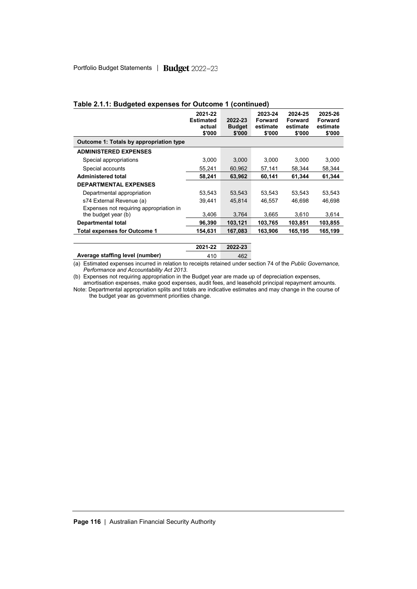|                                         | 2021-22<br><b>Estimated</b><br>actual<br>\$'000 | 2022-23<br><b>Budget</b><br>\$'000 | 2023-24<br>Forward<br>estimate<br>\$'000 | 2024-25<br>Forward<br>estimate<br>\$'000 | 2025-26<br>Forward<br>estimate<br>\$'000 |
|-----------------------------------------|-------------------------------------------------|------------------------------------|------------------------------------------|------------------------------------------|------------------------------------------|
| Outcome 1: Totals by appropriation type |                                                 |                                    |                                          |                                          |                                          |
| <b>ADMINISTERED EXPENSES</b>            |                                                 |                                    |                                          |                                          |                                          |
| Special appropriations                  | 3,000                                           | 3,000                              | 3,000                                    | 3.000                                    | 3,000                                    |
| Special accounts                        | 55,241                                          | 60,962                             | 57,141                                   | 58.344                                   | 58,344                                   |
| <b>Administered total</b>               | 58,241                                          | 63.962                             | 60,141                                   | 61.344                                   | 61,344                                   |
| <b>DEPARTMENTAL EXPENSES</b>            |                                                 |                                    |                                          |                                          |                                          |
| Departmental appropriation              | 53,543                                          | 53,543                             | 53,543                                   | 53,543                                   | 53,543                                   |
| s74 External Revenue (a)                | 39.441                                          | 45.814                             | 46.557                                   | 46.698                                   | 46.698                                   |
| Expenses not requiring appropriation in |                                                 |                                    |                                          |                                          |                                          |
| the budget year (b)                     | 3,406                                           | 3,764                              | 3,665                                    | 3,610                                    | 3,614                                    |
| <b>Departmental total</b>               | 96,390                                          | 103,121                            | 103,765                                  | 103,851                                  | 103,855                                  |
| <b>Total expenses for Outcome 1</b>     | 154,631                                         | 167,083                            | 163,906                                  | 165,195                                  | 165,199                                  |
|                                         | 2021-22                                         | 2022-23                            |                                          |                                          |                                          |

#### **Table 2.1.1: Budgeted expenses for Outcome 1 (continued)**

Average staffing level (number) 410 462 (a) Estimated expenses incurred in relation to receipts retained under section 74 of the *Public Governance, Performance and Accountability Act 2013*.

(b) Expenses not requiring appropriation in the Budget year are made up of depreciation expenses,

amortisation expenses, make good expenses, audit fees, and leasehold principal repayment amounts. Note: Departmental appropriation splits and totals are indicative estimates and may change in the course of the budget year as government priorities change.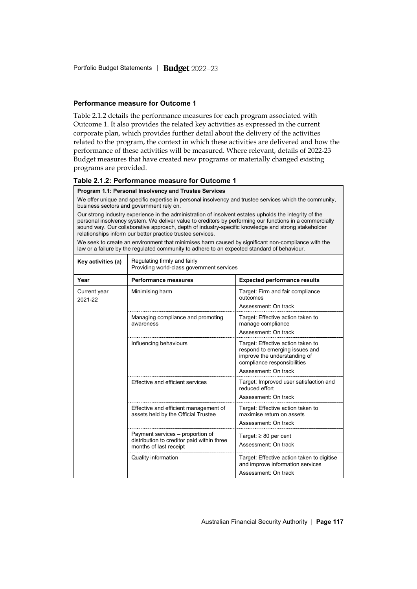#### **Performance measure for Outcome 1**

Table 2.1.2 details the performance measures for each program associated with Outcome 1. It also provides the related key activities as expressed in the current corporate plan, which provides further detail about the delivery of the activities related to the program, the context in which these activities are delivered and how the performance of these activities will be measured. Where relevant, details of 2022-23 Budget measures that have created new programs or materially changed existing programs are provided.

#### **Table 2.1.2: Performance measure for Outcome 1**

#### **Program 1.1: Personal Insolvency and Trustee Services**

We offer unique and specific expertise in personal insolvency and trustee services which the community, business sectors and government rely on.

Our strong industry experience in the administration of insolvent estates upholds the integrity of the personal insolvency system. We deliver value to creditors by performing our functions in a commercially sound way. Our collaborative approach, depth of industry-specific knowledge and strong stakeholder relationships inform our better practice trustee services.

We seek to create an environment that minimises harm caused by significant non-compliance with the law or a failure by the regulated community to adhere to an expected standard of behaviour.

| Key activities (a)      | Regulating firmly and fairly<br>Providing world-class government services                                |                                                                                                                                                            |  |  |  |
|-------------------------|----------------------------------------------------------------------------------------------------------|------------------------------------------------------------------------------------------------------------------------------------------------------------|--|--|--|
| Year                    | <b>Performance measures</b>                                                                              | <b>Expected performance results</b>                                                                                                                        |  |  |  |
| Current year<br>2021-22 | Minimising harm                                                                                          | Target: Firm and fair compliance<br>outcomes<br>Assessment: On track                                                                                       |  |  |  |
|                         | Managing compliance and promoting<br>awareness                                                           | Target: Effective action taken to<br>manage compliance<br>Assessment: On track                                                                             |  |  |  |
|                         | Influencing behaviours                                                                                   | Target: Effective action taken to<br>respond to emerging issues and<br>improve the understanding of<br>compliance responsibilities<br>Assessment: On track |  |  |  |
|                         | Effective and efficient services                                                                         | Target: Improved user satisfaction and<br>reduced effort<br>Assessment: On track                                                                           |  |  |  |
|                         | Effective and efficient management of<br>assets held by the Official Trustee                             | Target: Effective action taken to<br>maximise return on assets<br>Assessment: On track                                                                     |  |  |  |
|                         | Payment services – proportion of<br>distribution to creditor paid within three<br>months of last receipt | Target: $\geq 80$ per cent<br>Assessment: On track                                                                                                         |  |  |  |
|                         | Quality information                                                                                      | Target: Effective action taken to digitise<br>and improve information services<br>Assessment: On track                                                     |  |  |  |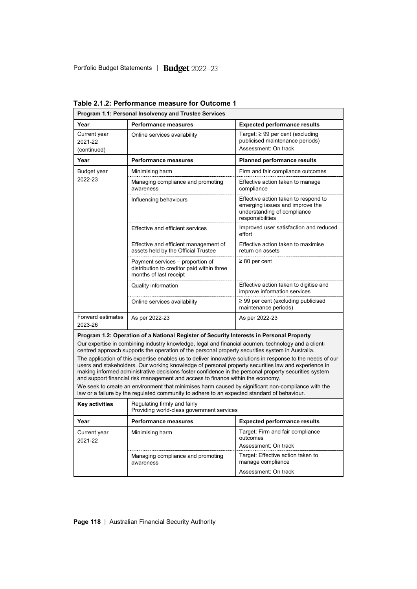| Program 1.1: Personal Insolvency and Trustee Services                   |                                                                                                                                                                                                                                                                                                                                                                                                                 |                                                                                                                            |  |  |
|-------------------------------------------------------------------------|-----------------------------------------------------------------------------------------------------------------------------------------------------------------------------------------------------------------------------------------------------------------------------------------------------------------------------------------------------------------------------------------------------------------|----------------------------------------------------------------------------------------------------------------------------|--|--|
| Year                                                                    | <b>Performance measures</b>                                                                                                                                                                                                                                                                                                                                                                                     | <b>Expected performance results</b>                                                                                        |  |  |
| Current year<br>2021-22<br>(continued)                                  | Online services availability                                                                                                                                                                                                                                                                                                                                                                                    | Target: $\geq 99$ per cent (excluding<br>publicised maintenance periods)<br>Assessment: On track                           |  |  |
| Year                                                                    | Performance measures                                                                                                                                                                                                                                                                                                                                                                                            | <b>Planned performance results</b>                                                                                         |  |  |
| Budget year                                                             | Minimising harm                                                                                                                                                                                                                                                                                                                                                                                                 | Firm and fair compliance outcomes                                                                                          |  |  |
| 2022-23                                                                 | Managing compliance and promoting<br>awareness                                                                                                                                                                                                                                                                                                                                                                  | Effective action taken to manage<br>compliance                                                                             |  |  |
| Influencing behaviours                                                  |                                                                                                                                                                                                                                                                                                                                                                                                                 | Effective action taken to respond to<br>emerging issues and improve the<br>understanding of compliance<br>responsibilities |  |  |
|                                                                         | Improved user satisfaction and reduced<br>effort                                                                                                                                                                                                                                                                                                                                                                |                                                                                                                            |  |  |
|                                                                         | Effective and efficient management of<br>assets held by the Official Trustee                                                                                                                                                                                                                                                                                                                                    | Effective action taken to maximise<br>return on assets                                                                     |  |  |
|                                                                         | Payment services – proportion of<br>distribution to creditor paid within three<br>months of last receipt                                                                                                                                                                                                                                                                                                        | $\geq 80$ per cent                                                                                                         |  |  |
|                                                                         | Quality information                                                                                                                                                                                                                                                                                                                                                                                             | Effective action taken to digitise and<br>improve information services                                                     |  |  |
|                                                                         | Online services availability                                                                                                                                                                                                                                                                                                                                                                                    | $\geq$ 99 per cent (excluding publicised<br>maintenance periods)                                                           |  |  |
| <b>Forward estimates</b><br>As per 2022-23<br>As per 2022-23<br>2023-26 |                                                                                                                                                                                                                                                                                                                                                                                                                 |                                                                                                                            |  |  |
|                                                                         | Program 1.2: Operation of a National Register of Security Interests in Personal Property                                                                                                                                                                                                                                                                                                                        |                                                                                                                            |  |  |
|                                                                         | Our expertise in combining industry knowledge, legal and financial acumen, technology and a client-<br>centred approach supports the operation of the personal property securities system in Australia.                                                                                                                                                                                                         |                                                                                                                            |  |  |
|                                                                         | The application of this expertise enables us to deliver innovative solutions in response to the needs of our<br>users and stakeholders. Our working knowledge of personal property securities law and experience in<br>making informed administrative decisions foster confidence in the personal property securities system<br>and support financial risk management and access to finance within the economy. |                                                                                                                            |  |  |
|                                                                         | We seek to create an environment that minimises harm caused by significant non-compliance with the<br>law or a failure by the regulated community to adhere to an expected standard of behaviour.                                                                                                                                                                                                               |                                                                                                                            |  |  |
| Key activities                                                          | Regulating firmly and fairly<br>Providing world-class government services                                                                                                                                                                                                                                                                                                                                       |                                                                                                                            |  |  |
| Year                                                                    | Performance measures                                                                                                                                                                                                                                                                                                                                                                                            | <b>Expected performance results</b>                                                                                        |  |  |
| Current year<br>2021-22                                                 | Minimising harm                                                                                                                                                                                                                                                                                                                                                                                                 | Target: Firm and fair compliance<br>outcomes                                                                               |  |  |
|                                                                         |                                                                                                                                                                                                                                                                                                                                                                                                                 | Assessment: On track                                                                                                       |  |  |
|                                                                         | Managing compliance and promoting<br>awareness                                                                                                                                                                                                                                                                                                                                                                  | Target: Effective action taken to<br>manage compliance                                                                     |  |  |
|                                                                         |                                                                                                                                                                                                                                                                                                                                                                                                                 | Assessment: On track                                                                                                       |  |  |

**Table 2.1.2: Performance measure for Outcome 1**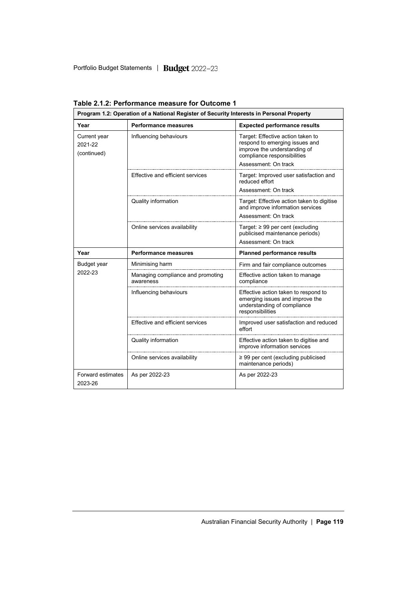| Program 1.2: Operation of a National Register of Security Interests in Personal Property |                                                |                                                                                                                                                            |  |  |
|------------------------------------------------------------------------------------------|------------------------------------------------|------------------------------------------------------------------------------------------------------------------------------------------------------------|--|--|
| Year                                                                                     | Performance measures                           | <b>Expected performance results</b>                                                                                                                        |  |  |
| Current year<br>2021-22<br>(continued)                                                   | Influencing behaviours                         | Target: Effective action taken to<br>respond to emerging issues and<br>improve the understanding of<br>compliance responsibilities<br>Assessment: On track |  |  |
|                                                                                          | Effective and efficient services               | Target: Improved user satisfaction and<br>reduced effort<br>Assessment: On track                                                                           |  |  |
|                                                                                          | Quality information                            | Target: Effective action taken to digitise<br>and improve information services<br>Assessment: On track                                                     |  |  |
|                                                                                          | Online services availability                   | Target: $\geq 99$ per cent (excluding<br>publicised maintenance periods)<br>Assessment: On track                                                           |  |  |
| Year                                                                                     | <b>Performance measures</b>                    | <b>Planned performance results</b>                                                                                                                         |  |  |
| Budget year                                                                              | Minimising harm                                | Firm and fair compliance outcomes                                                                                                                          |  |  |
| 2022-23                                                                                  |                                                |                                                                                                                                                            |  |  |
|                                                                                          | Managing compliance and promoting<br>awareness | Effective action taken to manage<br>compliance                                                                                                             |  |  |
|                                                                                          | Influencing behaviours                         | Effective action taken to respond to<br>emerging issues and improve the<br>understanding of compliance<br>responsibilities                                 |  |  |
|                                                                                          | Effective and efficient services               | Improved user satisfaction and reduced<br>effort                                                                                                           |  |  |
|                                                                                          | Quality information                            | Effective action taken to digitise and<br>improve information services                                                                                     |  |  |
|                                                                                          | Online services availability                   | $\geq$ 99 per cent (excluding publicised<br>maintenance periods)                                                                                           |  |  |

**Table 2.1.2: Performance measure for Outcome 1**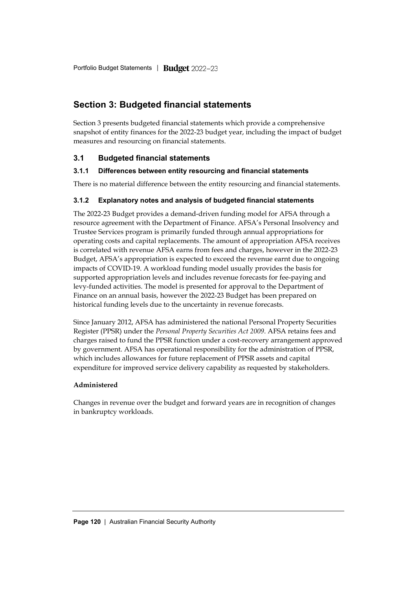# **Section 3: Budgeted financial statements**

Section 3 presents budgeted financial statements which provide a comprehensive snapshot of entity finances for the 2022-23 budget year, including the impact of budget measures and resourcing on financial statements.

# **3.1 Budgeted financial statements**

## **3.1.1 Differences between entity resourcing and financial statements**

There is no material difference between the entity resourcing and financial statements.

## **3.1.2 Explanatory notes and analysis of budgeted financial statements**

The 2022-23 Budget provides a demand-driven funding model for AFSA through a resource agreement with the Department of Finance. AFSA's Personal Insolvency and Trustee Services program is primarily funded through annual appropriations for operating costs and capital replacements. The amount of appropriation AFSA receives is correlated with revenue AFSA earns from fees and charges, however in the 2022-23 Budget, AFSA's appropriation is expected to exceed the revenue earnt due to ongoing impacts of COVID-19. A workload funding model usually provides the basis for supported appropriation levels and includes revenue forecasts for fee-paying and levy-funded activities. The model is presented for approval to the Department of Finance on an annual basis, however the 2022-23 Budget has been prepared on historical funding levels due to the uncertainty in revenue forecasts.

Since January 2012, AFSA has administered the national Personal Property Securities Register (PPSR) under the *Personal Property Securities Act 2009*. AFSA retains fees and charges raised to fund the PPSR function under a cost-recovery arrangement approved by government. AFSA has operational responsibility for the administration of PPSR, which includes allowances for future replacement of PPSR assets and capital expenditure for improved service delivery capability as requested by stakeholders.

#### **Administered**

Changes in revenue over the budget and forward years are in recognition of changes in bankruptcy workloads.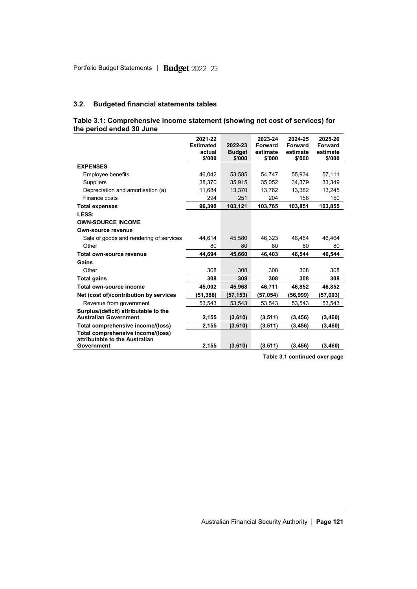#### **3.2. Budgeted financial statements tables**

#### **Table 3.1: Comprehensive income statement (showing net cost of services) for the period ended 30 June**

| \$'000<br>\$'000<br>\$'000<br>\$'000<br><b>EXPENSES</b><br>46,042<br>55,934<br>Employee benefits<br>53,585<br>54,747<br>38.370<br>35,915<br>35,052<br>34.379<br><b>Suppliers</b><br>11,684<br>13,370<br>13,762<br>13,382<br>Depreciation and amortisation (a)<br>Finance costs<br>294<br>251<br>204<br>156<br>96,390<br>103,121<br>103,765<br>103,851<br><b>Total expenses</b><br>LESS:<br><b>OWN-SOURCE INCOME</b><br>Own-source revenue | \$'000<br>57,111<br>33,349<br>13,245<br>150<br>103,855 |
|-------------------------------------------------------------------------------------------------------------------------------------------------------------------------------------------------------------------------------------------------------------------------------------------------------------------------------------------------------------------------------------------------------------------------------------------|--------------------------------------------------------|
|                                                                                                                                                                                                                                                                                                                                                                                                                                           |                                                        |
|                                                                                                                                                                                                                                                                                                                                                                                                                                           |                                                        |
|                                                                                                                                                                                                                                                                                                                                                                                                                                           |                                                        |
|                                                                                                                                                                                                                                                                                                                                                                                                                                           |                                                        |
|                                                                                                                                                                                                                                                                                                                                                                                                                                           |                                                        |
|                                                                                                                                                                                                                                                                                                                                                                                                                                           |                                                        |
|                                                                                                                                                                                                                                                                                                                                                                                                                                           |                                                        |
|                                                                                                                                                                                                                                                                                                                                                                                                                                           |                                                        |
|                                                                                                                                                                                                                                                                                                                                                                                                                                           |                                                        |
|                                                                                                                                                                                                                                                                                                                                                                                                                                           |                                                        |
| Sale of goods and rendering of services<br>44,614<br>45,580<br>46,323<br>46,464                                                                                                                                                                                                                                                                                                                                                           | 46,464                                                 |
| Other<br>80<br>80<br>80<br>80                                                                                                                                                                                                                                                                                                                                                                                                             | 80                                                     |
| Total own-source revenue<br>44.694<br>45.660<br>46,403<br>46.544                                                                                                                                                                                                                                                                                                                                                                          | 46.544                                                 |
| Gains                                                                                                                                                                                                                                                                                                                                                                                                                                     |                                                        |
| 308<br>Other<br>308<br>308<br>308                                                                                                                                                                                                                                                                                                                                                                                                         | 308                                                    |
| 308<br>308<br>308<br>308<br><b>Total gains</b>                                                                                                                                                                                                                                                                                                                                                                                            | 308                                                    |
| Total own-source income<br>45,002<br>45,968<br>46,711<br>46,852                                                                                                                                                                                                                                                                                                                                                                           | 46,852                                                 |
| Net (cost of)/contribution by services<br>(51, 388)<br>(57, 153)<br>(57, 054)<br>(56, 999)                                                                                                                                                                                                                                                                                                                                                | (57,003)                                               |
| Revenue from government<br>53,543<br>53,543<br>53,543<br>53,543                                                                                                                                                                                                                                                                                                                                                                           | 53,543                                                 |
| Surplus/(deficit) attributable to the<br><b>Australian Government</b><br>(3, 511)<br>2,155<br>(3,610)<br>(3, 456)                                                                                                                                                                                                                                                                                                                         | (3, 460)                                               |
| Total comprehensive income/(loss)<br>2,155<br>(3,610)<br>(3,511)<br>(3, 456)                                                                                                                                                                                                                                                                                                                                                              | (3, 460)                                               |
| Total comprehensive income/(loss)<br>attributable to the Australian<br>2,155<br>(3,610)<br>Government<br>(3,511)<br>(3, 456)<br>(3, 460)                                                                                                                                                                                                                                                                                                  |                                                        |

**Table 3.1 continued over page**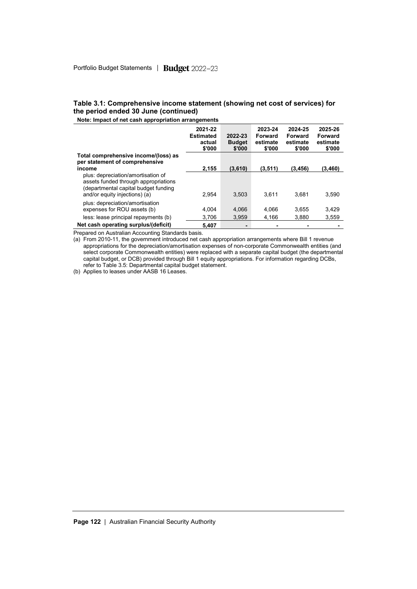#### **Table 3.1: Comprehensive income statement (showing net cost of services) for the period ended 30 June (continued)**

**Note: Impact of net cash appropriation arrangements**

|                                                                                                                                                     | 2021-22<br><b>Estimated</b><br>actual<br>\$'000 | 2022-23<br><b>Budget</b><br>\$'000 | 2023-24<br>Forward<br>estimate<br>\$'000 | 2024-25<br>Forward<br>estimate<br>\$'000 | 2025-26<br><b>Forward</b><br>estimate<br>\$'000 |
|-----------------------------------------------------------------------------------------------------------------------------------------------------|-------------------------------------------------|------------------------------------|------------------------------------------|------------------------------------------|-------------------------------------------------|
| Total comprehensive income/(loss) as<br>per statement of comprehensive                                                                              |                                                 |                                    |                                          |                                          |                                                 |
| income                                                                                                                                              | 2.155                                           | (3,610)                            | (3,511)                                  | (3,456)                                  | (3,460)                                         |
| plus: depreciation/amortisation of<br>assets funded through appropriations<br>(departmental capital budget funding<br>and/or equity injections) (a) | 2.954                                           | 3.503                              | 3.611                                    | 3.681                                    | 3.590                                           |
| plus: depreciation/amortisation<br>expenses for ROU assets (b)                                                                                      | 4.004                                           | 4,066                              | 4.066                                    | 3,655                                    | 3,429                                           |
| less: lease principal repayments (b)                                                                                                                | 3.706                                           | 3.959                              | 4.166                                    | 3.880                                    | 3,559                                           |
| Net cash operating surplus/(deficit)                                                                                                                | 5.407                                           |                                    |                                          |                                          |                                                 |

Prepared on Australian Accounting Standards basis.

(a) From 2010-11, the government introduced net cash appropriation arrangements where Bill 1 revenue appropriations for the depreciation/amortisation expenses of non-corporate Commonwealth entities (and select corporate Commonwealth entities) were replaced with a separate capital budget (the departmental capital budget, or DCB) provided through Bill 1 equity appropriations. For information regarding DCBs, refer to Table 3.5: Departmental capital budget statement.

(b) Applies to leases under AASB 16 Leases.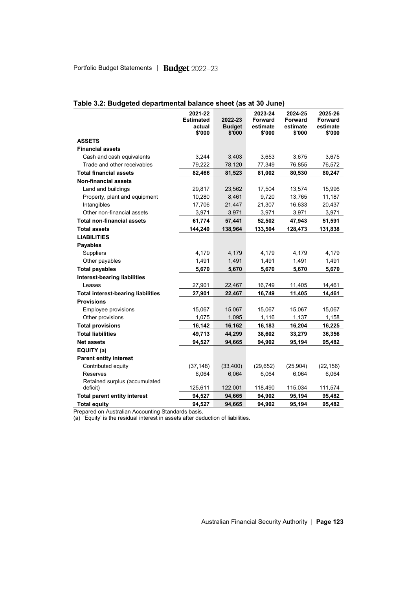|                                           | 2021-22          |                         | 2023-24            | 2024-25            | 2025-26            |
|-------------------------------------------|------------------|-------------------------|--------------------|--------------------|--------------------|
|                                           | <b>Estimated</b> | 2022-23                 | Forward            | <b>Forward</b>     | <b>Forward</b>     |
|                                           | actual<br>\$'000 | <b>Budget</b><br>\$'000 | estimate<br>\$'000 | estimate<br>\$'000 | estimate<br>\$'000 |
| <b>ASSETS</b>                             |                  |                         |                    |                    |                    |
| <b>Financial assets</b>                   |                  |                         |                    |                    |                    |
| Cash and cash equivalents                 | 3,244            | 3,403                   | 3,653              | 3,675              | 3,675              |
| Trade and other receivables               | 79,222           | 78,120                  | 77,349             | 76,855             | 76,572             |
| <b>Total financial assets</b>             | 82,466           | 81,523                  | 81,002             | 80,530             | 80,247             |
| <b>Non-financial assets</b>               |                  |                         |                    |                    |                    |
| Land and buildings                        | 29,817           | 23,562                  | 17,504             | 13,574             | 15,996             |
| Property, plant and equipment             | 10,280           | 8,461                   | 9,720              | 13,765             | 11,187             |
| Intangibles                               | 17,706           | 21,447                  | 21,307             | 16,633             | 20,437             |
| Other non-financial assets                | 3,971            | 3,971                   | 3,971              | 3,971              | 3,971              |
| <b>Total non-financial assets</b>         | 61,774           | 57,441                  | 52,502             | 47,943             | 51,591             |
| <b>Total assets</b>                       | 144,240          | 138,964                 | 133,504            | 128,473            | 131,838            |
| <b>LIABILITIES</b>                        |                  |                         |                    |                    |                    |
| <b>Payables</b>                           |                  |                         |                    |                    |                    |
| <b>Suppliers</b>                          | 4,179            | 4,179                   | 4,179              | 4,179              | 4,179              |
| Other payables                            | 1,491            | 1,491                   | 1,491              | 1,491              | 1,491              |
| <b>Total payables</b>                     | 5,670            | 5,670                   | 5,670              | 5,670              | 5,670              |
| <b>Interest-bearing liabilities</b>       |                  |                         |                    |                    |                    |
| Leases                                    | 27,901           | 22,467                  | 16,749             | 11,405             | 14,461             |
| <b>Total interest-bearing liabilities</b> | 27,901           | 22,467                  | 16,749             | 11,405             | 14,461             |
| <b>Provisions</b>                         |                  |                         |                    |                    |                    |
| Employee provisions                       | 15,067           | 15,067                  | 15,067             | 15,067             | 15,067             |
| Other provisions                          | 1,075            | 1,095                   | 1,116              | 1,137              | 1,158              |
| <b>Total provisions</b>                   | 16,142           | 16,162                  | 16,183             | 16,204             | 16,225             |
| <b>Total liabilities</b>                  | 49,713           | 44,299                  | 38,602             | 33,279             | 36,356             |
| <b>Net assets</b>                         | 94,527           | 94,665                  | 94,902             | 95,194             | 95,482             |
| EQUITY (a)                                |                  |                         |                    |                    |                    |
| <b>Parent entity interest</b>             |                  |                         |                    |                    |                    |
| Contributed equity                        | (37, 148)        | (33, 400)               | (29, 652)          | (25, 904)          | (22, 156)          |
| Reserves                                  | 6,064            | 6,064                   | 6,064              | 6,064              | 6,064              |
| Retained surplus (accumulated             |                  |                         |                    |                    |                    |
| deficit)                                  | 125,611          | 122,001                 | 118,490            | 115,034            | 111,574            |
| <b>Total parent entity interest</b>       | 94,527           | 94,665                  | 94,902             | 95,194             | 95,482             |
| <b>Total equity</b>                       | 94,527           | 94,665                  | 94,902             | 95,194             | 95,482             |

# **Table 3.2: Budgeted departmental balance sheet (as at 30 June)**

Prepared on Australian Accounting Standards basis.

(a) 'Equity' is the residual interest in assets after deduction of liabilities.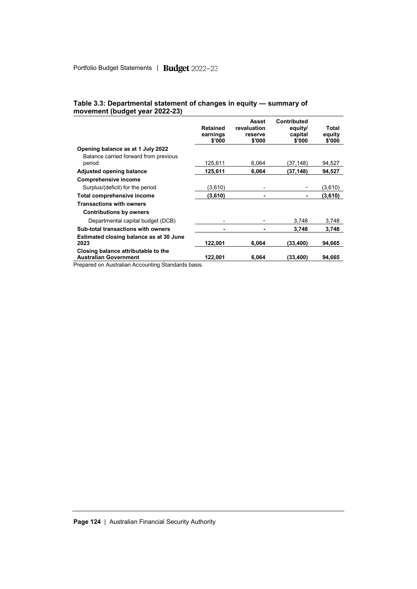| Table 3.3: Departmental statement of changes in equity - summary of<br>movement (budget year 2022-23) |       |             |  |
|-------------------------------------------------------------------------------------------------------|-------|-------------|--|
|                                                                                                       | Asset | Contributed |  |

|                                                                     | <b>Retained</b><br>earnings<br>\$'000 | revaluation<br>reserve<br>\$'000 | equity/<br>capital<br>\$'000 | Total<br>equity<br>\$'000 |
|---------------------------------------------------------------------|---------------------------------------|----------------------------------|------------------------------|---------------------------|
| Opening balance as at 1 July 2022                                   |                                       |                                  |                              |                           |
| Balance carried forward from previous<br>period                     | 125,611                               | 6.064                            | (37,148)                     | 94,527                    |
| <b>Adjusted opening balance</b>                                     | 125,611                               | 6,064                            | (37, 148)                    | 94,527                    |
| <b>Comprehensive income</b>                                         |                                       |                                  |                              |                           |
| Surplus/(deficit) for the period                                    | (3,610)                               |                                  |                              | (3,610)                   |
| Total comprehensive income                                          | (3,610)                               |                                  |                              | (3,610)                   |
| <b>Transactions with owners</b>                                     |                                       |                                  |                              |                           |
| <b>Contributions by owners</b>                                      |                                       |                                  |                              |                           |
| Departmental capital budget (DCB)                                   |                                       |                                  | 3.748                        | 3,748                     |
| Sub-total transactions with owners                                  |                                       |                                  | 3,748                        | 3,748                     |
| Estimated closing balance as at 30 June                             |                                       |                                  |                              |                           |
| 2023                                                                | 122.001                               | 6.064                            | (33,400)                     | 94,665                    |
| Closing balance attributable to the<br><b>Australian Government</b> | 122,001                               | 6.064                            | (33,400)                     | 94,665                    |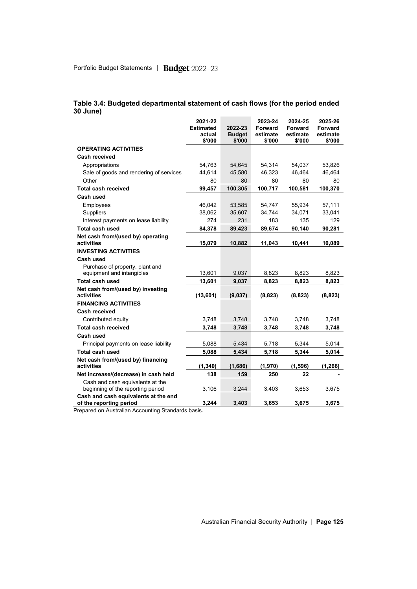|                                                                       | 2021-22<br><b>Estimated</b><br>actual | 2022-23<br><b>Budget</b> | 2023-24<br><b>Forward</b><br>estimate | 2024-25<br><b>Forward</b><br>estimate | 2025-26<br>Forward<br>estimate |
|-----------------------------------------------------------------------|---------------------------------------|--------------------------|---------------------------------------|---------------------------------------|--------------------------------|
|                                                                       | \$'000                                | \$'000                   | \$'000                                | \$'000                                | \$'000                         |
| <b>OPERATING ACTIVITIES</b>                                           |                                       |                          |                                       |                                       |                                |
| Cash received                                                         |                                       |                          |                                       |                                       |                                |
| Appropriations                                                        | 54,763                                | 54,645                   | 54,314                                | 54,037                                | 53,826                         |
| Sale of goods and rendering of services                               | 44,614                                | 45,580                   | 46,323                                | 46,464                                | 46,464                         |
| Other                                                                 | 80                                    | 80                       | 80                                    | 80                                    | 80                             |
| <b>Total cash received</b>                                            | 99,457                                | 100,305                  | 100,717                               | 100,581                               | 100,370                        |
| Cash used                                                             |                                       |                          |                                       |                                       |                                |
| Employees                                                             | 46,042                                | 53,585                   | 54,747                                | 55,934                                | 57,111                         |
| Suppliers                                                             | 38,062                                | 35,607                   | 34,744                                | 34,071                                | 33,041                         |
| Interest payments on lease liability                                  | 274                                   | 231                      | 183                                   | 135                                   | 129                            |
| <b>Total cash used</b>                                                | 84,378                                | 89,423                   | 89,674                                | 90,140                                | 90,281                         |
| Net cash from/(used by) operating<br>activities                       | 15,079                                | 10,882                   | 11,043                                | 10,441                                | 10,089                         |
| <b>INVESTING ACTIVITIES</b>                                           |                                       |                          |                                       |                                       |                                |
| Cash used                                                             |                                       |                          |                                       |                                       |                                |
| Purchase of property, plant and<br>equipment and intangibles          | 13,601                                | 9,037                    | 8,823                                 | 8,823                                 | 8,823                          |
| <b>Total cash used</b>                                                | 13,601                                | 9,037                    | 8,823                                 | 8,823                                 | 8,823                          |
| Net cash from/(used by) investing<br>activities                       | (13, 601)                             | (9,037)                  | (8, 823)                              | (8, 823)                              | (8, 823)                       |
| <b>FINANCING ACTIVITIES</b>                                           |                                       |                          |                                       |                                       |                                |
| <b>Cash received</b>                                                  |                                       |                          |                                       |                                       |                                |
| Contributed equity                                                    | 3,748                                 | 3,748                    | 3,748                                 | 3,748                                 | 3,748                          |
| <b>Total cash received</b>                                            | 3,748                                 | 3,748                    | 3,748                                 | 3.748                                 | 3,748                          |
| Cash used                                                             |                                       |                          |                                       |                                       |                                |
| Principal payments on lease liability                                 | 5,088                                 | 5,434                    | 5.718                                 | 5.344                                 | 5,014                          |
| <b>Total cash used</b>                                                | 5,088                                 | 5,434                    | 5,718                                 | 5,344                                 | 5,014                          |
| Net cash from/(used by) financing<br>activities                       | (1, 340)                              | (1,686)                  | (1,970)                               | (1,596)                               | (1, 266)                       |
| Net increase/(decrease) in cash held                                  | 138                                   | 159                      | 250                                   | 22                                    |                                |
| Cash and cash equivalents at the<br>beginning of the reporting period | 3,106                                 | 3,244                    | 3,403                                 | 3,653                                 | 3,675                          |
| Cash and cash equivalents at the end<br>of the reporting period       | 3,244                                 | 3.403                    | 3,653                                 | 3,675                                 | 3,675                          |

#### **Table 3.4: Budgeted departmental statement of cash flows (for the period ended 30 June)**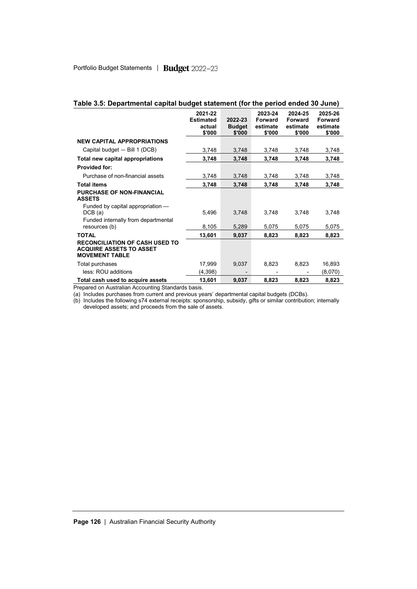|                                                                                                  | 2021-22<br><b>Estimated</b><br>actual<br>\$'000 | 2022-23<br><b>Budget</b><br>\$'000 | 2023-24<br>Forward<br>estimate<br>\$'000 | 2024-25<br><b>Forward</b><br>estimate<br>\$'000 | 2025-26<br><b>Forward</b><br>estimate<br>\$'000 |
|--------------------------------------------------------------------------------------------------|-------------------------------------------------|------------------------------------|------------------------------------------|-------------------------------------------------|-------------------------------------------------|
| <b>NEW CAPITAL APPROPRIATIONS</b>                                                                |                                                 |                                    |                                          |                                                 |                                                 |
| Capital budget - Bill 1 (DCB)                                                                    | 3,748                                           | 3,748                              | 3,748                                    | 3,748                                           | 3,748                                           |
| Total new capital appropriations                                                                 | 3,748                                           | 3,748                              | 3,748                                    | 3,748                                           | 3,748                                           |
| <b>Provided for:</b>                                                                             |                                                 |                                    |                                          |                                                 |                                                 |
| Purchase of non-financial assets                                                                 | 3,748                                           | 3,748                              | 3,748                                    | 3,748                                           | 3,748                                           |
| <b>Total items</b>                                                                               | 3,748                                           | 3,748                              | 3,748                                    | 3,748                                           | 3,748                                           |
| <b>PURCHASE OF NON-FINANCIAL</b><br><b>ASSETS</b>                                                |                                                 |                                    |                                          |                                                 |                                                 |
| Funded by capital appropriation —<br>DCB(a)                                                      | 5,496                                           | 3,748                              | 3,748                                    | 3,748                                           | 3,748                                           |
| Funded internally from departmental<br>resources (b)                                             | 8,105                                           | 5,289                              | 5,075                                    | 5,075                                           | 5,075                                           |
| <b>TOTAL</b>                                                                                     | 13,601                                          | 9,037                              | 8,823                                    | 8,823                                           | 8,823                                           |
| <b>RECONCILIATION OF CASH USED TO</b><br><b>ACQUIRE ASSETS TO ASSET</b><br><b>MOVEMENT TABLE</b> |                                                 |                                    |                                          |                                                 |                                                 |
| Total purchases                                                                                  | 17,999                                          | 9,037                              | 8,823                                    | 8,823                                           | 16,893                                          |
| less: ROU additions                                                                              | (4,398)                                         |                                    |                                          |                                                 | (8,070)                                         |
| Total cash used to acquire assets                                                                | 13,601                                          | 9,037                              | 8,823                                    | 8,823                                           | 8,823                                           |

#### **Table 3.5: Departmental capital budget statement (for the period ended 30 June)**

Prepared on Australian Accounting Standards basis.

(a) Includes purchases from current and previous years' departmental capital budgets (DCBs).

(b) Includes the following s74 external receipts: sponsorship, subsidy, gifts or similar contribution; internally developed assets; and proceeds from the sale of assets.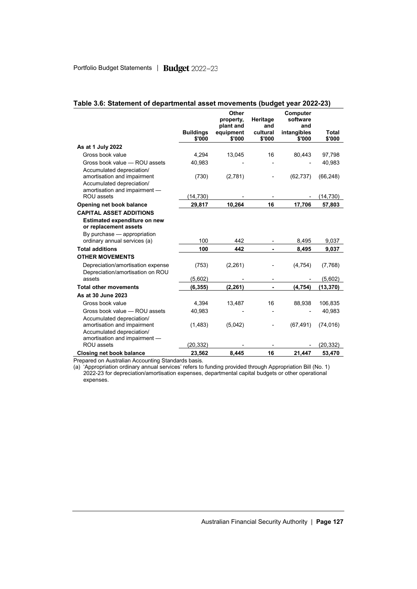|                                                                                       |                            | <b>Other</b><br>property,<br>plant and | Heritage<br>and              | Computer<br>software<br>and |                        |
|---------------------------------------------------------------------------------------|----------------------------|----------------------------------------|------------------------------|-----------------------------|------------------------|
|                                                                                       | <b>Buildings</b><br>\$'000 | equipment<br>\$'000                    | cultural<br>\$'000           | intangibles<br>\$'000       | <b>Total</b><br>\$'000 |
| As at 1 July 2022                                                                     |                            |                                        |                              |                             |                        |
| Gross book value                                                                      | 4.294                      | 13,045                                 | 16                           | 80,443                      | 97,798                 |
| Gross book value - ROU assets<br>Accumulated depreciation/                            | 40,983                     |                                        |                              |                             | 40,983                 |
| amortisation and impairment<br>Accumulated depreciation/                              | (730)                      | (2,781)                                |                              | (62, 737)                   | (66, 248)              |
| amortisation and impairment -<br>ROU assets                                           | (14, 730)                  |                                        |                              |                             | (14, 730)              |
| Opening net book balance                                                              | 29,817                     | 10,264                                 | 16                           | 17,706                      | 57,803                 |
| <b>CAPITAL ASSET ADDITIONS</b>                                                        |                            |                                        |                              |                             |                        |
| <b>Estimated expenditure on new</b><br>or replacement assets                          |                            |                                        |                              |                             |                        |
| By purchase - appropriation<br>ordinary annual services (a)                           | 100                        | 442                                    |                              | 8,495                       | 9,037                  |
| <b>Total additions</b>                                                                | 100                        | 442                                    | ÷.                           | 8,495                       | 9,037                  |
| <b>OTHER MOVEMENTS</b>                                                                |                            |                                        |                              |                             |                        |
| Depreciation/amortisation expense<br>Depreciation/amortisation on ROU                 | (753)                      | (2, 261)                               |                              | (4,754)                     | (7,768)                |
| assets                                                                                | (5,602)                    |                                        | $\qquad \qquad \blacksquare$ |                             | (5,602)                |
| <b>Total other movements</b>                                                          | (6, 355)                   | (2, 261)                               | ä,                           | (4, 754)                    | (13, 370)              |
| As at 30 June 2023                                                                    |                            |                                        |                              |                             |                        |
| Gross book value                                                                      | 4,394                      | 13,487                                 | 16                           | 88,938                      | 106,835                |
| Gross book value - ROU assets                                                         | 40,983                     |                                        |                              |                             | 40,983                 |
| Accumulated depreciation/<br>amortisation and impairment<br>Accumulated depreciation/ | (1, 483)                   | (5,042)                                |                              | (67, 491)                   | (74, 016)              |
| amortisation and impairment -<br>ROU assets                                           | (20, 332)                  |                                        |                              |                             | (20, 332)              |
| <b>Closing net book balance</b>                                                       | 23,562                     | 8,445                                  | 16                           | 21,447                      | 53,470                 |

#### **Table 3.6: Statement of departmental asset movements (budget year 2022-23)**

Prepared on Australian Accounting Standards basis.

(a) 'Appropriation ordinary annual services' refers to funding provided through Appropriation Bill (No. 1) 2022-23 for depreciation/amortisation expenses, departmental capital budgets or other operational expenses.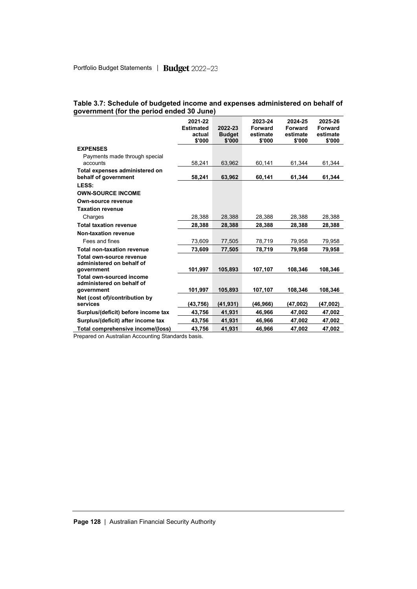#### **Table 3.7: Schedule of budgeted income and expenses administered on behalf of government (for the period ended 30 June)**

|                                                        | 2021-22<br><b>Estimated</b><br>actual<br>\$'000 | 2022-23<br><b>Budget</b><br>\$'000 | 2023-24<br><b>Forward</b><br>estimate<br>\$'000 | 2024-25<br>Forward<br>estimate<br>\$'000 | 2025-26<br>Forward<br>estimate<br>\$'000 |
|--------------------------------------------------------|-------------------------------------------------|------------------------------------|-------------------------------------------------|------------------------------------------|------------------------------------------|
| <b>EXPENSES</b>                                        |                                                 |                                    |                                                 |                                          |                                          |
| Payments made through special<br>accounts              | 58,241                                          | 63,962                             | 60,141                                          | 61.344                                   | 61,344                                   |
| Total expenses administered on<br>behalf of government | 58,241                                          | 63,962                             | 60,141                                          | 61,344                                   | 61,344                                   |
| LESS:                                                  |                                                 |                                    |                                                 |                                          |                                          |
| <b>OWN-SOURCE INCOME</b>                               |                                                 |                                    |                                                 |                                          |                                          |
| Own-source revenue                                     |                                                 |                                    |                                                 |                                          |                                          |
| <b>Taxation revenue</b>                                |                                                 |                                    |                                                 |                                          |                                          |
| Charges                                                | 28,388                                          | 28,388                             | 28,388                                          | 28,388                                   | 28,388                                   |
| <b>Total taxation revenue</b>                          | 28,388                                          | 28.388                             | 28,388                                          | 28.388                                   | 28,388                                   |
| Non-taxation revenue                                   |                                                 |                                    |                                                 |                                          |                                          |
| Fees and fines                                         | 73,609                                          | 77,505                             | 78,719                                          | 79,958                                   | 79,958                                   |
| <b>Total non-taxation revenue</b>                      | 73,609                                          | 77,505                             | 78,719                                          | 79,958                                   | 79,958                                   |
| Total own-source revenue<br>administered on behalf of  |                                                 |                                    |                                                 |                                          |                                          |
| government                                             | 101,997                                         | 105,893                            | 107,107                                         | 108,346                                  | 108,346                                  |
| Total own-sourced income<br>administered on behalf of  |                                                 |                                    |                                                 |                                          |                                          |
| government                                             | 101,997                                         | 105,893                            | 107,107                                         | 108,346                                  | 108,346                                  |
| Net (cost of)/contribution by<br>services              | (43,756)                                        | (41, 931)                          | (46,966)                                        | (47,002)                                 | (47,002)                                 |
| Surplus/(deficit) before income tax                    | 43,756                                          | 41,931                             | 46.966                                          | 47.002                                   | 47,002                                   |
| Surplus/(deficit) after income tax                     | 43,756                                          | 41,931                             | 46,966                                          | 47,002                                   | 47,002                                   |
| Total comprehensive income/(loss)                      | 43,756                                          | 41,931                             | 46,966                                          | 47,002                                   | 47,002                                   |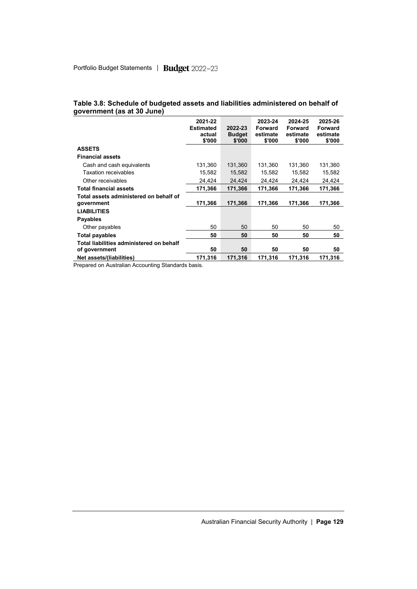|                                                                            | 2021-22<br><b>Estimated</b><br>actual<br>\$'000 | 2022-23<br><b>Budget</b><br>\$'000 | 2023-24<br>Forward<br>estimate<br>\$'000 | 2024-25<br>Forward<br>estimate<br>\$'000 | 2025-26<br>Forward<br>estimate<br>\$'000 |
|----------------------------------------------------------------------------|-------------------------------------------------|------------------------------------|------------------------------------------|------------------------------------------|------------------------------------------|
| <b>ASSETS</b>                                                              |                                                 |                                    |                                          |                                          |                                          |
| <b>Financial assets</b>                                                    |                                                 |                                    |                                          |                                          |                                          |
| Cash and cash equivalents                                                  | 131,360                                         | 131,360                            | 131,360                                  | 131,360                                  | 131,360                                  |
| <b>Taxation receivables</b>                                                | 15,582                                          | 15,582                             | 15,582                                   | 15,582                                   | 15,582                                   |
| Other receivables                                                          | 24,424                                          | 24,424                             | 24,424                                   | 24,424                                   | 24,424                                   |
| <b>Total financial assets</b>                                              | 171,366                                         | 171.366                            | 171,366                                  | 171,366                                  | 171,366                                  |
| Total assets administered on behalf of<br>government<br><b>LIABILITIES</b> | 171,366                                         | 171,366                            | 171,366                                  | 171,366                                  | 171,366                                  |
| <b>Payables</b>                                                            |                                                 |                                    |                                          |                                          |                                          |
| Other payables                                                             | 50                                              | 50                                 | 50                                       | 50                                       | 50                                       |
| Total payables                                                             | 50                                              | 50                                 | 50                                       | 50                                       | 50                                       |
| Total liabilities administered on behalf<br>of government                  | 50                                              | 50                                 | 50                                       | 50                                       | 50                                       |
| Net assets/(liabilities)                                                   | 171,316                                         | 171.316                            | 171,316                                  | 171,316                                  | 171,316                                  |

#### **Table 3.8: Schedule of budgeted assets and liabilities administered on behalf of government (as at 30 June)**